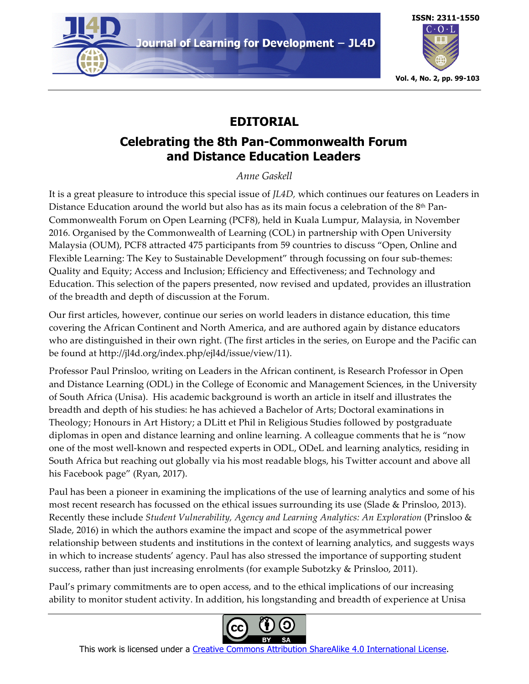

Journal of Learning for Development - JL4D



# **EDITORIAL**

## **Celebrating the 8th Pan-Commonwealth Forum and Distance Education Leaders**

*Anne Gaskell*

It is a great pleasure to introduce this special issue of *JL4D,* which continues our features on Leaders in Distance Education around the world but also has as its main focus a celebration of the 8<sup>th</sup> Pan-Commonwealth Forum on Open Learning (PCF8), held in Kuala Lumpur, Malaysia, in November 2016. Organised by the Commonwealth of Learning (COL) in partnership with Open University Malaysia (OUM), PCF8 attracted 475 participants from 59 countries to discuss "Open, Online and Flexible Learning: The Key to Sustainable Development" through focussing on four sub-themes: Quality and Equity; Access and Inclusion; Efficiency and Effectiveness; and Technology and Education. This selection of the papers presented, now revised and updated, provides an illustration of the breadth and depth of discussion at the Forum.

Our first articles, however, continue our series on world leaders in distance education, this time covering the African Continent and North America, and are authored again by distance educators who are distinguished in their own right. (The first articles in the series, on Europe and the Pacific can be found at http://jl4d.org/index.php/ejl4d/issue/view/11).

Professor Paul Prinsloo, writing on Leaders in the African continent, is Research Professor in Open and Distance Learning (ODL) in the College of Economic and Management Sciences, in the University of South Africa (Unisa). His academic background is worth an article in itself and illustrates the breadth and depth of his studies: he has achieved a Bachelor of Arts; Doctoral examinations in Theology; Honours in Art History; a DLitt et Phil in Religious Studies followed by postgraduate diplomas in open and distance learning and online learning. A colleague comments that he is "now one of the most well-known and respected experts in ODL, ODeL and learning analytics, residing in South Africa but reaching out globally via his most readable blogs, his Twitter account and above all his Facebook page" (Ryan, 2017).

Paul has been a pioneer in examining the implications of the use of learning analytics and some of his most recent research has focussed on the ethical issues surrounding its use (Slade & Prinsloo, 2013). Recently these include *Student Vulnerability, Agency and Learning Analytics: An Exploration* (Prinsloo & Slade, 2016) in which the authors examine the impact and scope of the asymmetrical power relationship between students and institutions in the context of learning analytics, and suggests ways in which to increase students' agency. Paul has also stressed the importance of supporting student success, rather than just increasing enrolments (for example Subotzky & Prinsloo, 2011).

Paul's primary commitments are to open access, and to the ethical implications of our increasing ability to monitor student activity. In addition, his longstanding and breadth of experience at Unisa



This work is licensed under a Creative Commons Attribution ShareAlike 4.0 International License.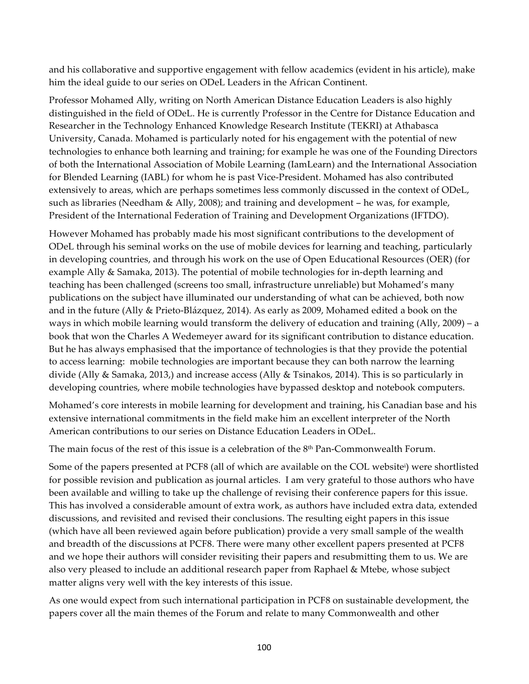and his collaborative and supportive engagement with fellow academics (evident in his article), make him the ideal guide to our series on ODeL Leaders in the African Continent.

Professor Mohamed Ally, writing on North American Distance Education Leaders is also highly distinguished in the field of ODeL. He is currently Professor in the Centre for Distance Education and Researcher in the Technology Enhanced Knowledge Research Institute (TEKRI) at Athabasca University, Canada. Mohamed is particularly noted for his engagement with the potential of new technologies to enhance both learning and training; for example he was one of the Founding Directors of both the International Association of Mobile Learning (IamLearn) and the International Association for Blended Learning (IABL) for whom he is past Vice-President. Mohamed has also contributed extensively to areas, which are perhaps sometimes less commonly discussed in the context of ODeL, such as libraries (Needham & Ally, 2008); and training and development − he was, for example, President of the International Federation of Training and Development Organizations (IFTDO).

However Mohamed has probably made his most significant contributions to the development of ODeL through his seminal works on the use of mobile devices for learning and teaching, particularly in developing countries, and through his work on the use of Open Educational Resources (OER) (for example Ally & Samaka, 2013). The potential of mobile technologies for in-depth learning and teaching has been challenged (screens too small, infrastructure unreliable) but Mohamed's many publications on the subject have illuminated our understanding of what can be achieved, both now and in the future (Ally & Prieto-Blázquez, 2014). As early as 2009, Mohamed edited a book on the ways in which mobile learning would transform the delivery of education and training (Ally, 2009) – a book that won the Charles A Wedemeyer award for its significant contribution to distance education. But he has always emphasised that the importance of technologies is that they provide the potential to access learning: mobile technologies are important because they can both narrow the learning divide (Ally & Samaka, 2013,) and increase access (Ally & Tsinakos, 2014). This is so particularly in developing countries, where mobile technologies have bypassed desktop and notebook computers.

Mohamed's core interests in mobile learning for development and training, his Canadian base and his extensive international commitments in the field make him an excellent interpreter of the North American contributions to our series on Distance Education Leaders in ODeL.

The main focus of the rest of this issue is a celebration of the  $8<sup>th</sup>$  Pan-Commonwealth Forum.

Some of the papers presented at PCF8 (all of which are available on the COL websitei ) were shortlisted for possible revision and publication as journal articles. I am very grateful to those authors who have been available and willing to take up the challenge of revising their conference papers for this issue. This has involved a considerable amount of extra work, as authors have included extra data, extended discussions, and revisited and revised their conclusions. The resulting eight papers in this issue (which have all been reviewed again before publication) provide a very small sample of the wealth and breadth of the discussions at PCF8. There were many other excellent papers presented at PCF8 and we hope their authors will consider revisiting their papers and resubmitting them to us. We are also very pleased to include an additional research paper from Raphael & Mtebe, whose subject matter aligns very well with the key interests of this issue.

As one would expect from such international participation in PCF8 on sustainable development, the papers cover all the main themes of the Forum and relate to many Commonwealth and other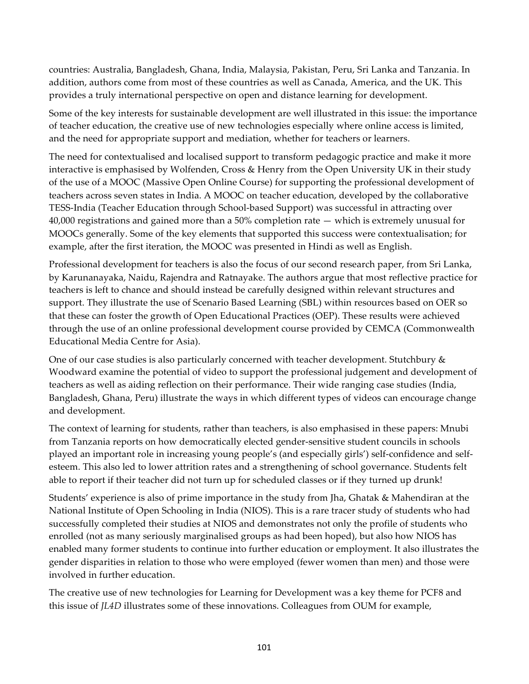countries: Australia, Bangladesh, Ghana, India, Malaysia, Pakistan, Peru, Sri Lanka and Tanzania. In addition, authors come from most of these countries as well as Canada, America, and the UK. This provides a truly international perspective on open and distance learning for development.

Some of the key interests for sustainable development are well illustrated in this issue: the importance of teacher education, the creative use of new technologies especially where online access is limited, and the need for appropriate support and mediation, whether for teachers or learners.

The need for contextualised and localised support to transform pedagogic practice and make it more interactive is emphasised by Wolfenden, Cross & Henry from the Open University UK in their study of the use of a MOOC (Massive Open Online Course) for supporting the professional development of teachers across seven states in India. A MOOC on teacher education, developed by the collaborative TESS-India (Teacher Education through School-based Support) was successful in attracting over 40,000 registrations and gained more than a 50% completion rate — which is extremely unusual for MOOCs generally. Some of the key elements that supported this success were contextualisation; for example, after the first iteration, the MOOC was presented in Hindi as well as English.

Professional development for teachers is also the focus of our second research paper, from Sri Lanka, by Karunanayaka, Naidu, Rajendra and Ratnayake. The authors argue that most reflective practice for teachers is left to chance and should instead be carefully designed within relevant structures and support. They illustrate the use of Scenario Based Learning (SBL) within resources based on OER so that these can foster the growth of Open Educational Practices (OEP). These results were achieved through the use of an online professional development course provided by CEMCA (Commonwealth Educational Media Centre for Asia).

One of our case studies is also particularly concerned with teacher development. Stutchbury & Woodward examine the potential of video to support the professional judgement and development of teachers as well as aiding reflection on their performance. Their wide ranging case studies (India, Bangladesh, Ghana, Peru) illustrate the ways in which different types of videos can encourage change and development.

The context of learning for students, rather than teachers, is also emphasised in these papers: Mnubi from Tanzania reports on how democratically elected gender-sensitive student councils in schools played an important role in increasing young people's (and especially girls') self-confidence and selfesteem. This also led to lower attrition rates and a strengthening of school governance. Students felt able to report if their teacher did not turn up for scheduled classes or if they turned up drunk!

Students' experience is also of prime importance in the study from Jha, Ghatak & Mahendiran at the National Institute of Open Schooling in India (NIOS). This is a rare tracer study of students who had successfully completed their studies at NIOS and demonstrates not only the profile of students who enrolled (not as many seriously marginalised groups as had been hoped), but also how NIOS has enabled many former students to continue into further education or employment. It also illustrates the gender disparities in relation to those who were employed (fewer women than men) and those were involved in further education.

The creative use of new technologies for Learning for Development was a key theme for PCF8 and this issue of *JL4D* illustrates some of these innovations. Colleagues from OUM for example,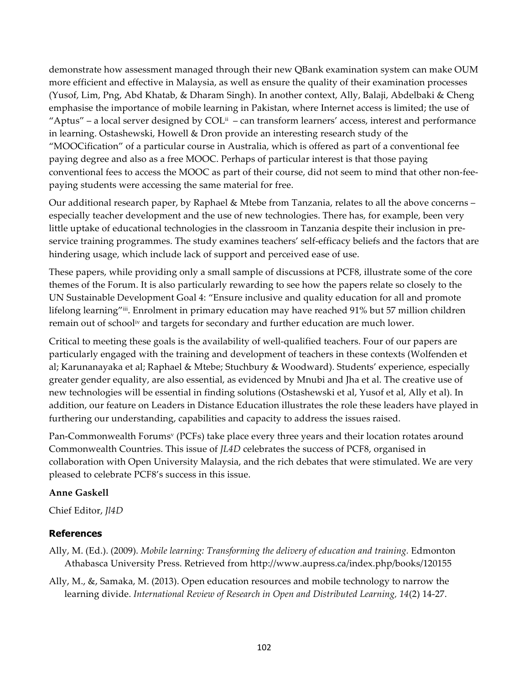demonstrate how assessment managed through their new QBank examination system can make OUM more efficient and effective in Malaysia, as well as ensure the quality of their examination processes (Yusof, Lim, Png, Abd Khatab, & Dharam Singh). In another context, Ally, Balaji, Abdelbaki & Cheng emphasise the importance of mobile learning in Pakistan, where Internet access is limited; the use of "Aptus" – a local server designed by  $COL^{\text{ii}}$  – can transform learners' access, interest and performance in learning. Ostashewski, Howell & Dron provide an interesting research study of the "MOOCification" of a particular course in Australia, which is offered as part of a conventional fee paying degree and also as a free MOOC. Perhaps of particular interest is that those paying conventional fees to access the MOOC as part of their course, did not seem to mind that other non-feepaying students were accessing the same material for free.

Our additional research paper, by Raphael & Mtebe from Tanzania, relates to all the above concerns – especially teacher development and the use of new technologies. There has, for example, been very little uptake of educational technologies in the classroom in Tanzania despite their inclusion in preservice training programmes. The study examines teachers' self-efficacy beliefs and the factors that are hindering usage, which include lack of support and perceived ease of use.

These papers, while providing only a small sample of discussions at PCF8, illustrate some of the core themes of the Forum. It is also particularly rewarding to see how the papers relate so closely to the UN Sustainable Development Goal 4: "Ensure inclusive and quality education for all and promote lifelong learning"<sup>iii</sup>. Enrolment in primary education may have reached 91% but 57 million children remain out of schooliv and targets for secondary and further education are much lower.

Critical to meeting these goals is the availability of well-qualified teachers. Four of our papers are particularly engaged with the training and development of teachers in these contexts (Wolfenden et al; Karunanayaka et al; Raphael & Mtebe; Stuchbury & Woodward). Students' experience, especially greater gender equality, are also essential, as evidenced by Mnubi and Jha et al. The creative use of new technologies will be essential in finding solutions (Ostashewski et al, Yusof et al, Ally et al). In addition, our feature on Leaders in Distance Education illustrates the role these leaders have played in furthering our understanding, capabilities and capacity to address the issues raised.

Pan-Commonwealth Forums<sup>v</sup> (PCFs) take place every three years and their location rotates around Commonwealth Countries. This issue of *JL4D* celebrates the success of PCF8, organised in collaboration with Open University Malaysia, and the rich debates that were stimulated. We are very pleased to celebrate PCF8's success in this issue.

### **Anne Gaskell**

Chief Editor, *Jl4D*

### **References**

Ally, M. (Ed.). (2009). *Mobile learning: Transforming the delivery of education and training.* Edmonton Athabasca University Press. Retrieved from http://www.aupress.ca/index.php/books/120155

Ally, M., &, Samaka, M. (2013). Open education resources and mobile technology to narrow the learning divide. *International Review of Research in Open and Distributed Learning, 14*(2) 14-27.